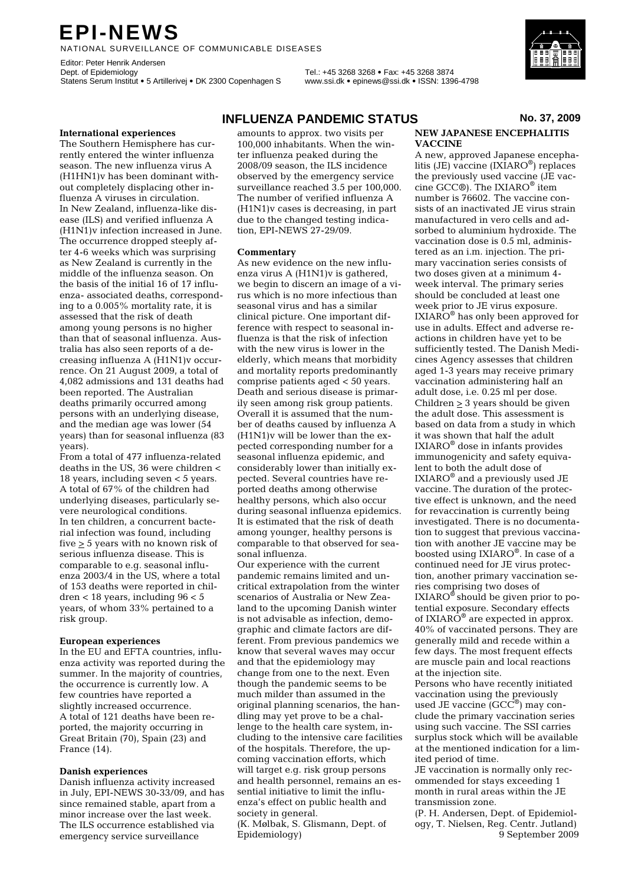# **EPI-NEWS**

NATIONAL SURVEILLANCE OF COMMUNICABLE DISEASES

Editor: Peter Henrik Andersen<br>Dept. of Epidemiology Statens Serum Institut • 5 Artillerivej • DK 2300 Copenhagen S www.ssi.dk • epinews@ssi.dk • ISSN: 1396-4798

Dept. of Epidemiology Tel.: +45 3268 3268 • Fax: +45 3268 3874

# **International experiences**

The Southern Hemisphere has currently entered the winter influenza season. The new influenza virus A (H1HN1)v has been dominant without completely displacing other influenza A viruses in circulation. In New Zealand, influenza-like disease (ILS) and verified influenza A (H1N1)v infection increased in June. The occurrence dropped steeply after 4-6 weeks which was surprising as New Zealand is currently in the middle of the influenza season. On the basis of the initial 16 of 17 influenza- associated deaths, corresponding to a 0.005% mortality rate, it is assessed that the risk of death among young persons is no higher than that of seasonal influenza. Australia has also seen reports of a decreasing influenza A (H1N1)v occurrence. On 21 August 2009, a total of 4,082 admissions and 131 deaths had been reported. The Australian deaths primarily occurred among persons with an underlying disease, and the median age was lower (54 years) than for seasonal influenza (83 years).

From a total of 477 influenza-related deaths in the US, 36 were children < 18 years, including seven < 5 years. A total of 67% of the children had underlying diseases, particularly severe neurological conditions. In ten children, a concurrent bacterial infection was found, including five  $\geq 5$  years with no known risk of serious influenza disease. This is comparable to e.g. seasonal influenza 2003/4 in the US, where a total of 153 deaths were reported in children < 18 years, including 96 < 5 years, of whom 33% pertained to a risk group.

#### **European experiences**

In the EU and EFTA countries, influenza activity was reported during the summer. In the majority of countries, the occurrence is currently low. A few countries have reported a slightly increased occurrence. A total of 121 deaths have been reported, the majority occurring in Great Britain (70), Spain (23) and France (14).

## **Danish experiences**

Danish influenza activity increased in July, EPI-NEWS 30-33/09, and has since remained stable, apart from a minor increase over the last week. The ILS occurrence established via emergency service surveillance

# **INFLUENZA PANDEMIC STATUS** No. 37, 2009

amounts to approx. two visits per 100,000 inhabitants. When the winter influenza peaked during the 2008/09 season, the ILS incidence observed by the emergency service surveillance reached 3.5 per 100,000. The number of verified influenza A (H1N1)v cases is decreasing, in part due to the changed testing indication, EPI-NEWS 27-29/09.

### **Commentary**

As new evidence on the new influenza virus A (H1N1)v is gathered, we begin to discern an image of a virus which is no more infectious than seasonal virus and has a similar clinical picture. One important difference with respect to seasonal influenza is that the risk of infection with the new virus is lower in the elderly, which means that morbidity and mortality reports predominantly comprise patients aged < 50 years. Death and serious disease is primarily seen among risk group patients. Overall it is assumed that the number of deaths caused by influenza A (H1N1)v will be lower than the expected corresponding number for a seasonal influenza epidemic, and considerably lower than initially expected. Several countries have reported deaths among otherwise healthy persons, which also occur during seasonal influenza epidemics. It is estimated that the risk of death among younger, healthy persons is comparable to that observed for seasonal influenza.

Our experience with the current pandemic remains limited and uncritical extrapolation from the winter scenarios of Australia or New Zealand to the upcoming Danish winter is not advisable as infection, demographic and climate factors are different. From previous pandemics we know that several waves may occur and that the epidemiology may change from one to the next. Even though the pandemic seems to be much milder than assumed in the original planning scenarios, the handling may yet prove to be a challenge to the health care system, including to the intensive care facilities of the hospitals. Therefore, the upcoming vaccination efforts, which will target e.g. risk group persons and health personnel, remains an essential initiative to limit the influenza's effect on public health and society in general.

(K. Mølbak, S. Glismann, Dept. of Epidemiology)

# **NEW JAPANESE ENCEPHALITIS VACCINE**

A new, approved Japanese encephalitis (JE) vaccine (IXIARO®) replaces the previously used vaccine (JE vaccine GCC®). The IXIARO® item number is 76602. The vaccine consists of an inactivated JE virus strain manufactured in vero cells and adsorbed to aluminium hydroxide. The vaccination dose is 0.5 ml, administered as an i.m. injection. The primary vaccination series consists of two doses given at a minimum 4 week interval. The primary series should be concluded at least one week prior to JE virus exposure. IXIARO® has only been approved for use in adults. Effect and adverse reactions in children have yet to be sufficiently tested. The Danish Medicines Agency assesses that children aged 1-3 years may receive primary vaccination administering half an adult dose, i.e. 0.25 ml per dose. Children  $\geq 3$  years should be given the adult dose. This assessment is based on data from a study in which it was shown that half the adult IXIARO® dose in infants provides immunogenicity and safety equivalent to both the adult dose of IXIARO® and a previously used JE vaccine. The duration of the protective effect is unknown, and the need for revaccination is currently being investigated. There is no documentation to suggest that previous vaccination with another JE vaccine may be boosted using IXIARO®. In case of a continued need for JE virus protection, another primary vaccination series comprising two doses of  $IXIARO^*$  should be given prior to potential exposure. Secondary effects of IXIAR $\overline{O}^{\circledast}$  are expected in approx. 40% of vaccinated persons. They are generally mild and recede within a few days. The most frequent effects are muscle pain and local reactions at the injection site.

Persons who have recently initiated vaccination using the previously used JE vaccine  $(GCC^@)$  may conclude the primary vaccination series using such vaccine. The SSI carries surplus stock which will be available at the mentioned indication for a limited period of time.

JE vaccination is normally only recommended for stays exceeding 1 month in rural areas within the JE transmission zone.

(P. H. Andersen, Dept. of Epidemiology, T. Nielsen, Reg. Centr. Jutland) 9 September 2009